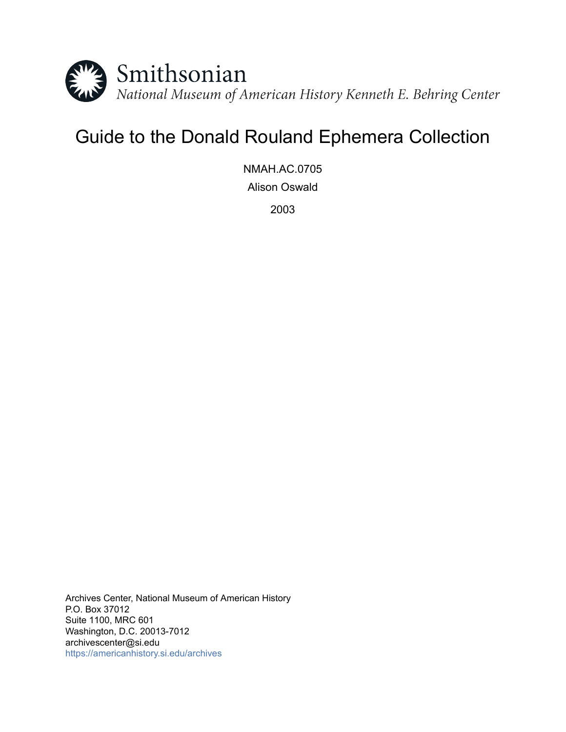

# Guide to the Donald Rouland Ephemera Collection

NMAH.AC.0705 Alison Oswald

2003

Archives Center, National Museum of American History P.O. Box 37012 Suite 1100, MRC 601 Washington, D.C. 20013-7012 archivescenter@si.edu <https://americanhistory.si.edu/archives>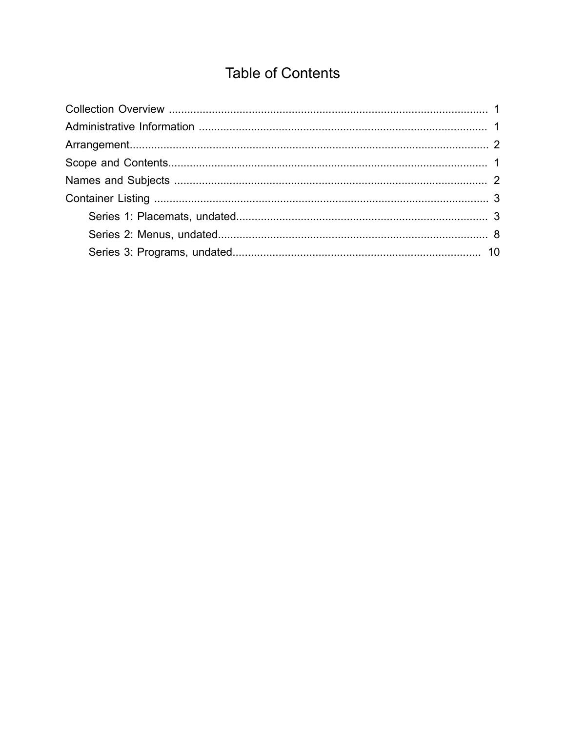# **Table of Contents**

<span id="page-1-0"></span>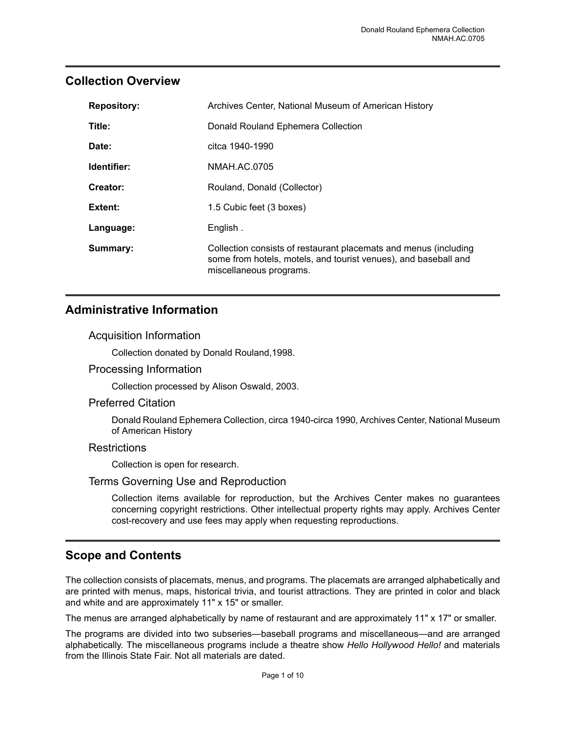### <span id="page-2-0"></span>**Collection Overview**

| <b>Repository:</b> | Archives Center, National Museum of American History                                                                                                           |
|--------------------|----------------------------------------------------------------------------------------------------------------------------------------------------------------|
| Title:             | Donald Rouland Ephemera Collection                                                                                                                             |
| Date:              | citca 1940-1990                                                                                                                                                |
| Identifier:        | NMAH.AC.0705                                                                                                                                                   |
| Creator:           | Rouland, Donald (Collector)                                                                                                                                    |
| Extent:            | 1.5 Cubic feet (3 boxes)                                                                                                                                       |
| Language:          | English.                                                                                                                                                       |
| Summary:           | Collection consists of restaurant placemats and menus (including<br>some from hotels, motels, and tourist venues), and baseball and<br>miscellaneous programs. |

#### <span id="page-2-1"></span>**Administrative Information**

#### Acquisition Information

Collection donated by Donald Rouland,1998.

Processing Information

Collection processed by Alison Oswald, 2003.

#### Preferred Citation

Donald Rouland Ephemera Collection, circa1940-circa1990, Archives Center, National Museum of American History

#### **Restrictions**

Collection is open for research.

#### Terms Governing Use and Reproduction

Collection items available for reproduction, but the Archives Center makes no guarantees concerning copyright restrictions. Other intellectual property rights may apply. Archives Center cost-recovery and use fees may apply when requesting reproductions.

### <span id="page-2-2"></span>**Scope and Contents**

The collection consists of placemats, menus, and programs. The placemats are arranged alphabetically and are printed with menus, maps, historical trivia, and tourist attractions. They are printed in color and black and white and are approximately 11" x 15" or smaller.

The menus are arranged alphabetically by name of restaurant and are approximately 11" x 17" or smaller.

The programs are divided into two subseries—baseball programs and miscellaneous—and are arranged alphabetically. The miscellaneous programs include a theatre show *Hello Hollywood Hello!* and materials from the Illinois State Fair. Not all materials are dated.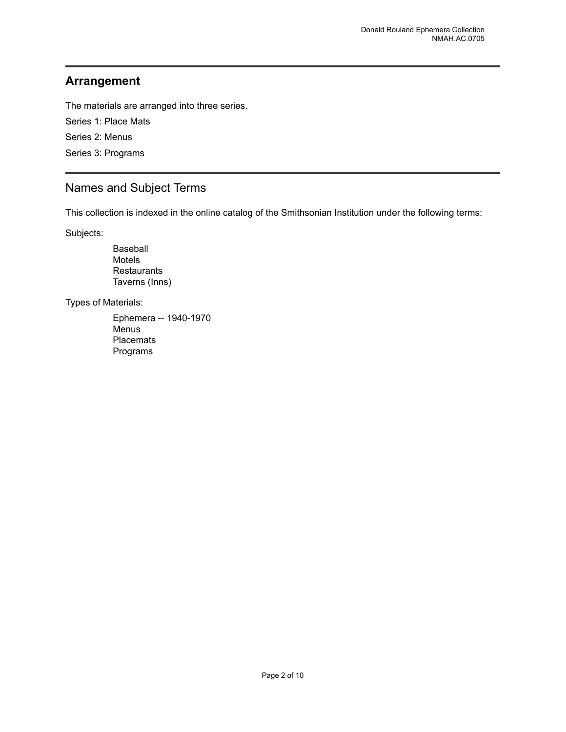### <span id="page-3-0"></span>**Arrangement**

The materials are arranged into three series.

Series 1: Place Mats Series 2: Menus Series 3: Programs

## <span id="page-3-1"></span>Names and Subject Terms

This collection is indexed in the online catalog of the Smithsonian Institution under the following terms:

Subjects:

Baseball Motels **Restaurants** Taverns (Inns)

Types of Materials:

Ephemera -- 1940-1970 Menus Placemats Programs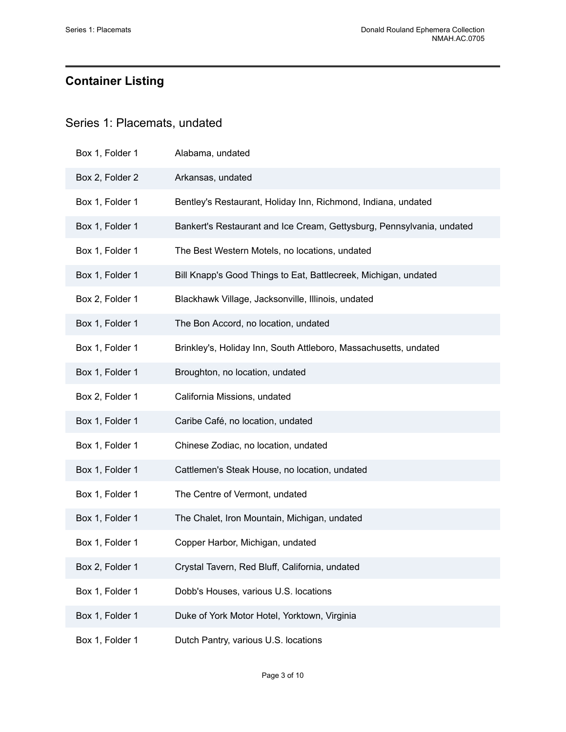# <span id="page-4-0"></span>**Container Listing**

## <span id="page-4-1"></span>Series 1: Placemats, undated

| Box 1, Folder 1 | Alabama, undated                                                      |
|-----------------|-----------------------------------------------------------------------|
| Box 2, Folder 2 | Arkansas, undated                                                     |
| Box 1, Folder 1 | Bentley's Restaurant, Holiday Inn, Richmond, Indiana, undated         |
| Box 1, Folder 1 | Bankert's Restaurant and Ice Cream, Gettysburg, Pennsylvania, undated |
| Box 1, Folder 1 | The Best Western Motels, no locations, undated                        |
| Box 1, Folder 1 | Bill Knapp's Good Things to Eat, Battlecreek, Michigan, undated       |
| Box 2, Folder 1 | Blackhawk Village, Jacksonville, Illinois, undated                    |
| Box 1, Folder 1 | The Bon Accord, no location, undated                                  |
| Box 1, Folder 1 | Brinkley's, Holiday Inn, South Attleboro, Massachusetts, undated      |
| Box 1, Folder 1 | Broughton, no location, undated                                       |
| Box 2, Folder 1 | California Missions, undated                                          |
| Box 1, Folder 1 | Caribe Café, no location, undated                                     |
| Box 1, Folder 1 | Chinese Zodiac, no location, undated                                  |
| Box 1, Folder 1 | Cattlemen's Steak House, no location, undated                         |
| Box 1, Folder 1 | The Centre of Vermont, undated                                        |
| Box 1, Folder 1 | The Chalet, Iron Mountain, Michigan, undated                          |
| Box 1, Folder 1 | Copper Harbor, Michigan, undated                                      |
| Box 2, Folder 1 | Crystal Tavern, Red Bluff, California, undated                        |
| Box 1, Folder 1 | Dobb's Houses, various U.S. locations                                 |
| Box 1, Folder 1 | Duke of York Motor Hotel, Yorktown, Virginia                          |
| Box 1, Folder 1 | Dutch Pantry, various U.S. locations                                  |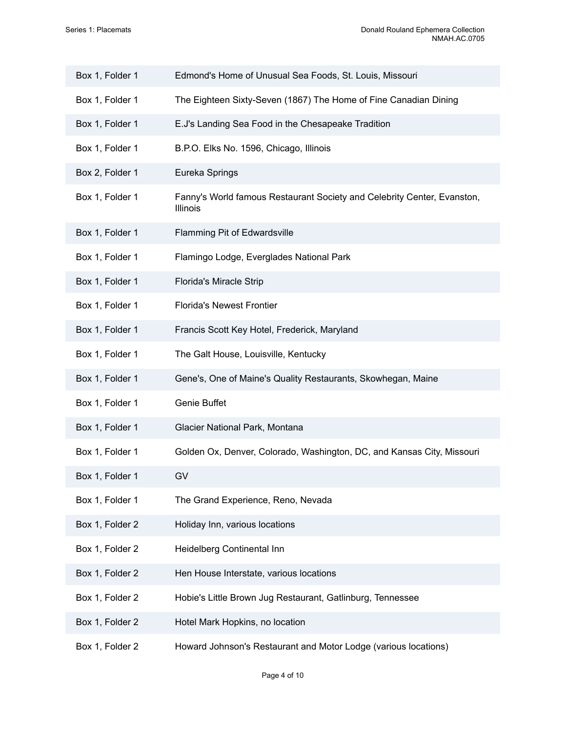| Box 1, Folder 1 | Edmond's Home of Unusual Sea Foods, St. Louis, Missouri                             |
|-----------------|-------------------------------------------------------------------------------------|
| Box 1, Folder 1 | The Eighteen Sixty-Seven (1867) The Home of Fine Canadian Dining                    |
| Box 1, Folder 1 | E.J's Landing Sea Food in the Chesapeake Tradition                                  |
| Box 1, Folder 1 | B.P.O. Elks No. 1596, Chicago, Illinois                                             |
| Box 2, Folder 1 | Eureka Springs                                                                      |
| Box 1, Folder 1 | Fanny's World famous Restaurant Society and Celebrity Center, Evanston,<br>Illinois |
| Box 1, Folder 1 | Flamming Pit of Edwardsville                                                        |
| Box 1, Folder 1 | Flamingo Lodge, Everglades National Park                                            |
| Box 1, Folder 1 | Florida's Miracle Strip                                                             |
| Box 1, Folder 1 | <b>Florida's Newest Frontier</b>                                                    |
| Box 1, Folder 1 | Francis Scott Key Hotel, Frederick, Maryland                                        |
| Box 1, Folder 1 | The Galt House, Louisville, Kentucky                                                |
| Box 1, Folder 1 | Gene's, One of Maine's Quality Restaurants, Skowhegan, Maine                        |
| Box 1, Folder 1 | Genie Buffet                                                                        |
| Box 1, Folder 1 | Glacier National Park, Montana                                                      |
| Box 1, Folder 1 | Golden Ox, Denver, Colorado, Washington, DC, and Kansas City, Missouri              |
| Box 1, Folder 1 | GV                                                                                  |
| Box 1, Folder 1 | The Grand Experience, Reno, Nevada                                                  |
| Box 1, Folder 2 | Holiday Inn, various locations                                                      |
| Box 1, Folder 2 | Heidelberg Continental Inn                                                          |
| Box 1, Folder 2 | Hen House Interstate, various locations                                             |
| Box 1, Folder 2 | Hobie's Little Brown Jug Restaurant, Gatlinburg, Tennessee                          |
| Box 1, Folder 2 | Hotel Mark Hopkins, no location                                                     |
| Box 1, Folder 2 | Howard Johnson's Restaurant and Motor Lodge (various locations)                     |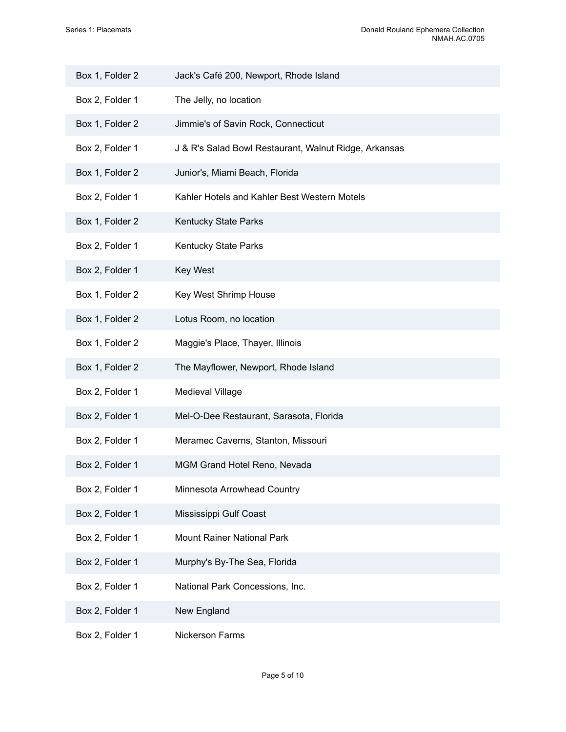| Box 1, Folder 2 | Jack's Café 200, Newport, Rhode Island                |  |
|-----------------|-------------------------------------------------------|--|
| Box 2, Folder 1 | The Jelly, no location                                |  |
| Box 1, Folder 2 | Jimmie's of Savin Rock, Connecticut                   |  |
| Box 2, Folder 1 | J & R's Salad Bowl Restaurant, Walnut Ridge, Arkansas |  |
| Box 1, Folder 2 | Junior's, Miami Beach, Florida                        |  |
| Box 2, Folder 1 | Kahler Hotels and Kahler Best Western Motels          |  |
| Box 1, Folder 2 | Kentucky State Parks                                  |  |
| Box 2, Folder 1 | Kentucky State Parks                                  |  |
| Box 2, Folder 1 | <b>Key West</b>                                       |  |
| Box 1, Folder 2 | Key West Shrimp House                                 |  |
| Box 1, Folder 2 | Lotus Room, no location                               |  |
| Box 1, Folder 2 | Maggie's Place, Thayer, Illinois                      |  |
| Box 1, Folder 2 | The Mayflower, Newport, Rhode Island                  |  |
| Box 2, Folder 1 | Medieval Village                                      |  |
| Box 2, Folder 1 | Mel-O-Dee Restaurant, Sarasota, Florida               |  |
| Box 2, Folder 1 | Meramec Caverns, Stanton, Missouri                    |  |
| Box 2, Folder 1 | MGM Grand Hotel Reno, Nevada                          |  |
| Box 2, Folder 1 | Minnesota Arrowhead Country                           |  |
| Box 2, Folder 1 | Mississippi Gulf Coast                                |  |
| Box 2, Folder 1 | <b>Mount Rainer National Park</b>                     |  |
| Box 2, Folder 1 | Murphy's By-The Sea, Florida                          |  |
| Box 2, Folder 1 | National Park Concessions, Inc.                       |  |
| Box 2, Folder 1 | New England                                           |  |
| Box 2, Folder 1 | Nickerson Farms                                       |  |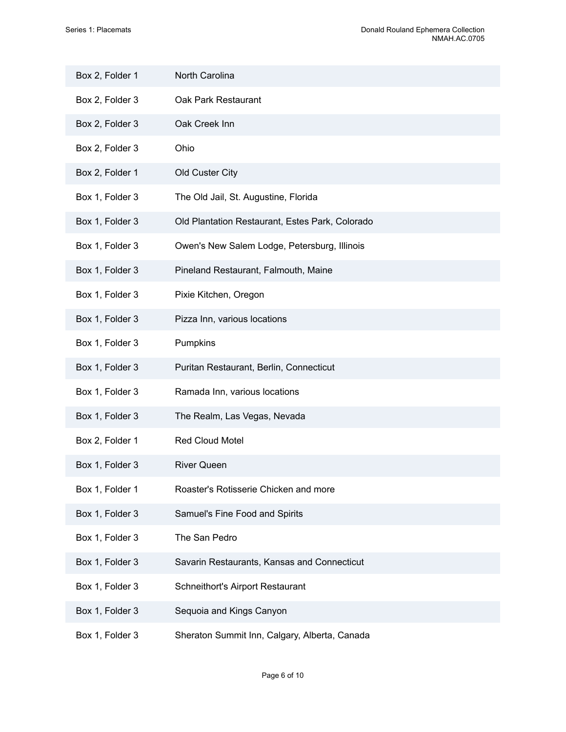| Box 2, Folder 1 | North Carolina                                  |
|-----------------|-------------------------------------------------|
| Box 2, Folder 3 | Oak Park Restaurant                             |
| Box 2, Folder 3 | Oak Creek Inn                                   |
| Box 2, Folder 3 | Ohio                                            |
| Box 2, Folder 1 | Old Custer City                                 |
| Box 1, Folder 3 | The Old Jail, St. Augustine, Florida            |
| Box 1, Folder 3 | Old Plantation Restaurant, Estes Park, Colorado |
| Box 1, Folder 3 | Owen's New Salem Lodge, Petersburg, Illinois    |
| Box 1, Folder 3 | Pineland Restaurant, Falmouth, Maine            |
| Box 1, Folder 3 | Pixie Kitchen, Oregon                           |
| Box 1, Folder 3 | Pizza Inn, various locations                    |
| Box 1, Folder 3 | Pumpkins                                        |
| Box 1, Folder 3 | Puritan Restaurant, Berlin, Connecticut         |
| Box 1, Folder 3 | Ramada Inn, various locations                   |
| Box 1, Folder 3 | The Realm, Las Vegas, Nevada                    |
| Box 2, Folder 1 | Red Cloud Motel                                 |
| Box 1, Folder 3 | <b>River Queen</b>                              |
| Box 1, Folder 1 | Roaster's Rotisserie Chicken and more           |
| Box 1, Folder 3 | Samuel's Fine Food and Spirits                  |
| Box 1, Folder 3 | The San Pedro                                   |
| Box 1, Folder 3 | Savarin Restaurants, Kansas and Connecticut     |
| Box 1, Folder 3 | Schneithort's Airport Restaurant                |
| Box 1, Folder 3 | Sequoia and Kings Canyon                        |
| Box 1, Folder 3 | Sheraton Summit Inn, Calgary, Alberta, Canada   |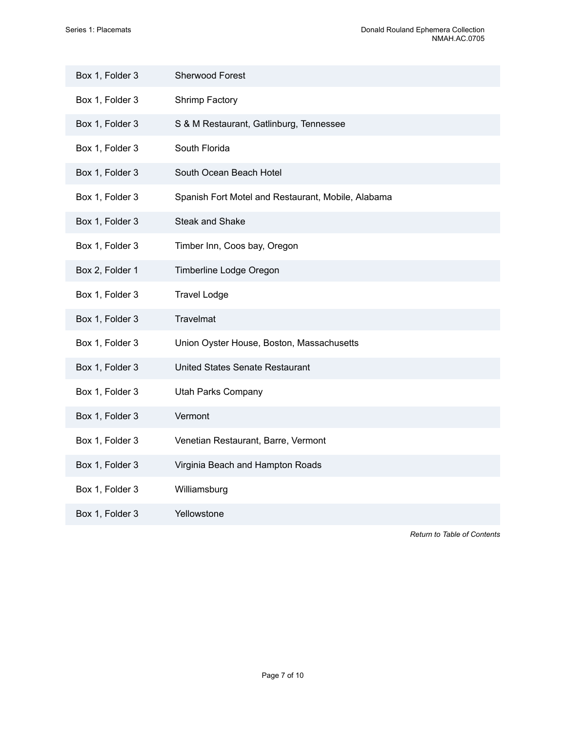| Box 1, Folder 3 | <b>Sherwood Forest</b>                             |
|-----------------|----------------------------------------------------|
| Box 1, Folder 3 | Shrimp Factory                                     |
| Box 1, Folder 3 | S & M Restaurant, Gatlinburg, Tennessee            |
| Box 1, Folder 3 | South Florida                                      |
| Box 1, Folder 3 | South Ocean Beach Hotel                            |
| Box 1, Folder 3 | Spanish Fort Motel and Restaurant, Mobile, Alabama |
| Box 1, Folder 3 | <b>Steak and Shake</b>                             |
| Box 1, Folder 3 | Timber Inn, Coos bay, Oregon                       |
| Box 2, Folder 1 | Timberline Lodge Oregon                            |
| Box 1, Folder 3 | <b>Travel Lodge</b>                                |
| Box 1, Folder 3 | <b>Travelmat</b>                                   |
| Box 1, Folder 3 | Union Oyster House, Boston, Massachusetts          |
| Box 1, Folder 3 | United States Senate Restaurant                    |
| Box 1, Folder 3 | <b>Utah Parks Company</b>                          |
| Box 1, Folder 3 | Vermont                                            |
| Box 1, Folder 3 | Venetian Restaurant, Barre, Vermont                |
| Box 1, Folder 3 | Virginia Beach and Hampton Roads                   |
| Box 1, Folder 3 | Williamsburg                                       |
| Box 1, Folder 3 | Yellowstone                                        |

*Return to Table of [Contents](#page-1-0)*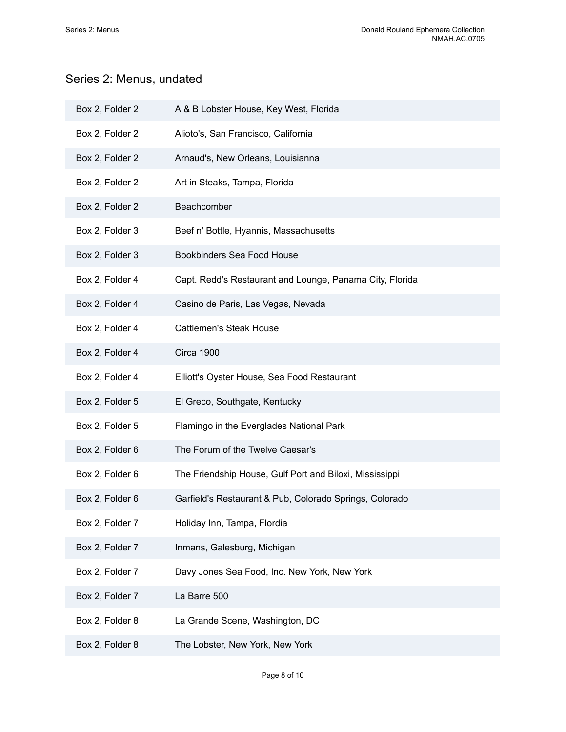# <span id="page-9-0"></span>Series 2: Menus, undated

| Box 2, Folder 2 | A & B Lobster House, Key West, Florida                   |
|-----------------|----------------------------------------------------------|
| Box 2, Folder 2 | Alioto's, San Francisco, California                      |
| Box 2, Folder 2 | Arnaud's, New Orleans, Louisianna                        |
| Box 2, Folder 2 | Art in Steaks, Tampa, Florida                            |
| Box 2, Folder 2 | Beachcomber                                              |
| Box 2, Folder 3 | Beef n' Bottle, Hyannis, Massachusetts                   |
| Box 2, Folder 3 | Bookbinders Sea Food House                               |
| Box 2, Folder 4 | Capt. Redd's Restaurant and Lounge, Panama City, Florida |
| Box 2, Folder 4 | Casino de Paris, Las Vegas, Nevada                       |
| Box 2, Folder 4 | <b>Cattlemen's Steak House</b>                           |
| Box 2, Folder 4 | Circa 1900                                               |
| Box 2, Folder 4 | Elliott's Oyster House, Sea Food Restaurant              |
| Box 2, Folder 5 | El Greco, Southgate, Kentucky                            |
| Box 2, Folder 5 | Flamingo in the Everglades National Park                 |
| Box 2, Folder 6 | The Forum of the Twelve Caesar's                         |
| Box 2, Folder 6 | The Friendship House, Gulf Port and Biloxi, Mississippi  |
| Box 2, Folder 6 | Garfield's Restaurant & Pub, Colorado Springs, Colorado  |
| Box 2, Folder 7 | Holiday Inn, Tampa, Flordia                              |
| Box 2, Folder 7 | Inmans, Galesburg, Michigan                              |
| Box 2, Folder 7 | Davy Jones Sea Food, Inc. New York, New York             |
| Box 2, Folder 7 | La Barre 500                                             |
| Box 2, Folder 8 | La Grande Scene, Washington, DC                          |
| Box 2, Folder 8 | The Lobster, New York, New York                          |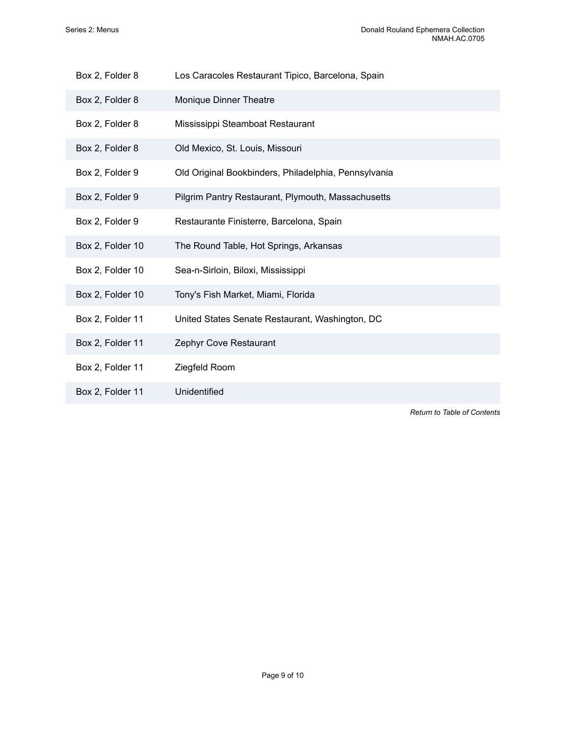| Box 2, Folder 8 | Los Caracoles Restaurant Tipico, Barcelona, Spain |  |
|-----------------|---------------------------------------------------|--|
|-----------------|---------------------------------------------------|--|

- Box 2, Folder 8 Monique Dinner Theatre
- Box 2, Folder 8 Mississippi Steamboat Restaurant
- Box 2, Folder 8 Old Mexico, St. Louis, Missouri
- Box 2, Folder 9 Old Original Bookbinders, Philadelphia, Pennsylvania
- Box 2, Folder 9 Pilgrim Pantry Restaurant, Plymouth, Massachusetts
- Box 2, Folder 9 Restaurante Finisterre, Barcelona, Spain
- Box 2, Folder 10 The Round Table, Hot Springs, Arkansas
- Box 2, Folder 10 Sea-n-Sirloin, Biloxi, Mississippi
- Box 2, Folder 10 Tony's Fish Market, Miami, Florida
- Box 2, Folder 11 United States Senate Restaurant, Washington, DC
- Box 2, Folder 11 Zephyr Cove Restaurant
- Box 2, Folder 11 Ziegfeld Room
- Box 2, Folder 11 Unidentified

*Return to Table of [Contents](#page-1-0)*